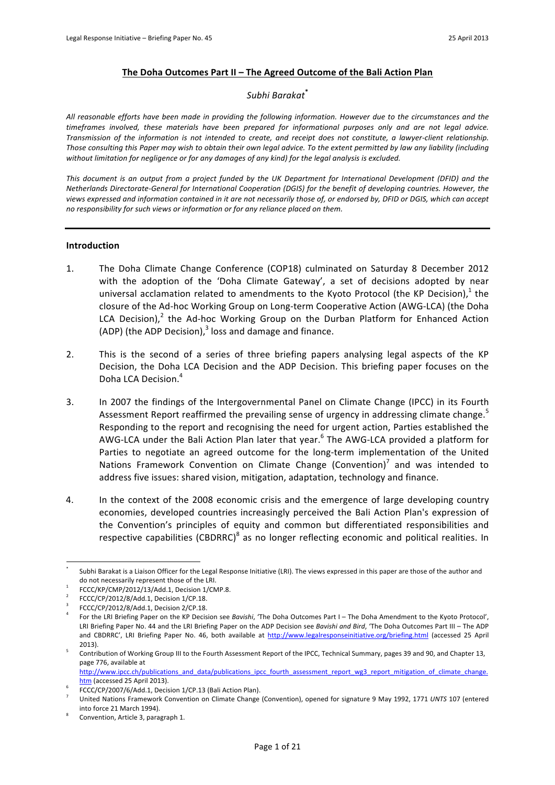### **The Doha Outcomes Part II – The Agreed Outcome of the Bali Action Plan**

### *Subhi!Barakat***\***

All reasonable efforts have been made in providing the following information. However due to the circumstances and the *timeframes involved, these materials have been prepared for informational purposes only and are not legal advice.* Transmission of the information is not intended to create, and receipt does not constitute, a lawyer-client relationship. Those consulting this Paper may wish to obtain their own legal advice. To the extent permitted by law any liability (including without limitation for negligence or for any damages of any kind) for the legal analysis is excluded.

This document is an output from a project funded by the UK Department for International Development (DFID) and the *Netherlands Directorate-General for International Cooperation (DGIS) for the benefit of developing countries. However, the* views expressed and information contained in it are not necessarily those of, or endorsed by, DFID or DGIS, which can accept *no responsibility for such views or information or for any reliance placed on them.* 

#### **Introduction**

- 1. The Doha Climate Change Conference (COP18) culminated on Saturday 8 December 2012 with the adoption of the 'Doha Climate Gateway', a set of decisions adopted by near universal acclamation related to amendments to the Kyoto Protocol (the KP Decision),<sup>1</sup> the closure of the Ad-hoc Working Group on Long-term Cooperative Action (AWG-LCA) (the Doha LCA Decision),<sup>2</sup> the Ad-hoc Working Group on the Durban Platform for Enhanced Action (ADP) (the ADP Decision), $3$  loss and damage and finance.
- 2. This is the second of a series of three briefing papers analysing legal aspects of the KP Decision, the Doha LCA Decision and the ADP Decision. This briefing paper focuses on the Doha LCA Decision.<sup>4</sup>
- 3. In 2007 the findings of the Intergovernmental Panel on Climate Change (IPCC) in its Fourth Assessment Report reaffirmed the prevailing sense of urgency in addressing climate change.<sup>5</sup> Responding to the report and recognising the need for urgent action, Parties established the AWG-LCA under the Bali Action Plan later that year.<sup>6</sup> The AWG-LCA provided a platform for Parties to negotiate an agreed outcome for the long-term implementation of the United Nations Framework Convention on Climate Change (Convention)<sup>7</sup> and was intended to address five issues: shared vision, mitigation, adaptation, technology and finance.
- 4. In the context of the 2008 economic crisis and the emergence of large developing country economies, developed countries increasingly perceived the Bali Action Plan's expression of the Convention's principles of equity and common but differentiated responsibilities and respective capabilities (CBDRRC)<sup>8</sup> as no longer reflecting economic and political realities. In

Subhi Barakat is a Liaison Officer for the Legal Response Initiative (LRI). The views expressed in this paper are those of the author and do not necessarily represent those of the LRI.

FCCC/KP/CMP/2012/13/Add.1, Decision 1/CMP.8.

FCCC/CP/2012/8/Add.1, Decision 1/CP.18.

FCCC/CP/2012/8/Add.1, Decision 2/CP.18. 4 Foratheaperageaber and Decision Briefing Paper and The CCC/CP/2012/8/Add.1, Decision 2/CP.18. 4 Bavishi, 'The Doha Outcomes Part I – The Doha Amendment to the Kyoto Protocol', LRI Briefing Paper No. 44 and the LRI Briefing Paper on the ADP Decision see *Bavishi and Bird*, 'The Doha Outcomes Part III - The ADP and CBDRRC', LRI Briefing Paper No. 46, both available at http://www.legalresponseinitiative.org/briefing.html (accessed 25 April

<sup>2013).&</sup>lt;br>Contribution of Working Group III to the Fourth Assessment Report of the IPCC, Technical Summary, pages 39 and 90, and Chapter 13, page 776, available at

http://www.ipcc.ch/publications and data/publications ipcc fourth assessment report wg3 report mitigation of climate change. htm (accessed 25 April 2013).

FCCC/CP/2007/6/Add.1, Decision 1/CP.13 (Bali Action Plan).

United Nations Framework Convention on Climate Change (Convention), opened for signature 9 May 1992, 1771 UNTS 107 (entered into force 21 March 1994).

Convention, Article 3, paragraph 1.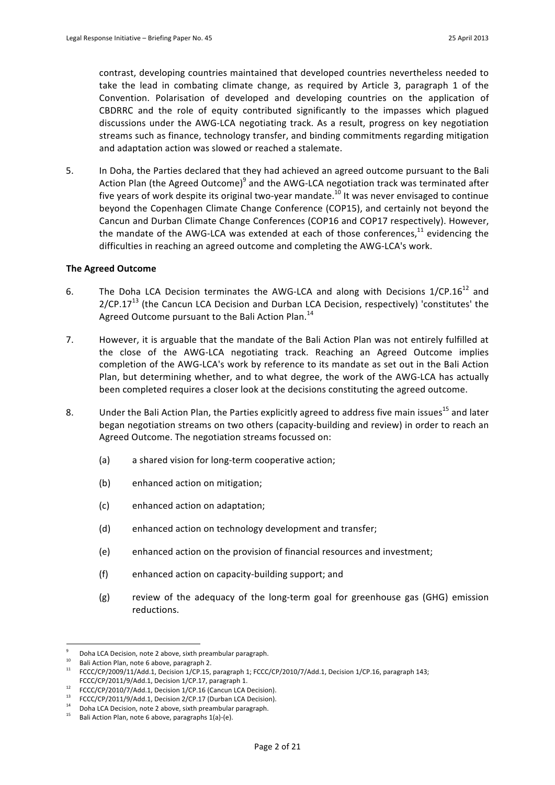contrast, developing countries maintained that developed countries nevertheless needed to take the lead in combating climate change, as required by Article 3, paragraph 1 of the Convention. Polarisation of developed and developing countries on the application of CBDRRC and the role of equity contributed significantly to the impasses which plagued discussions under the AWG-LCA negotiating track. As a result, progress on key negotiation streams such as finance, technology transfer, and binding commitments regarding mitigation and adaptation action was slowed or reached a stalemate.

5. In Doha, the Parties declared that they had achieved an agreed outcome pursuant to the Bali Action Plan (the Agreed Outcome)<sup>9</sup> and the AWG-LCA negotiation track was terminated after five years of work despite its original two-year mandate.<sup>10</sup> It was never envisaged to continue beyond the Copenhagen Climate Change Conference (COP15), and certainly not beyond the Cancun and Durban Climate Change Conferences (COP16 and COP17 respectively). However, the mandate of the AWG-LCA was extended at each of those conferences, $^{11}$  evidencing the difficulties in reaching an agreed outcome and completing the AWG-LCA's work.

### **The Agreed Outcome**

- 6. The Doha LCA Decision terminates the AWG-LCA and along with Decisions  $1/CP.16^{12}$  and  $2/CP.17<sup>13</sup>$  (the Cancun LCA Decision and Durban LCA Decision, respectively) 'constitutes' the Agreed Outcome pursuant to the Bali Action Plan.<sup>14</sup>
- 7. However, it is arguable that the mandate of the Bali Action Plan was not entirely fulfilled at the close of the AWG-LCA negotiating track. Reaching an Agreed Outcome implies completion of the AWG-LCA's work by reference to its mandate as set out in the Bali Action Plan, but determining whether, and to what degree, the work of the AWG-LCA has actually been completed requires a closer look at the decisions constituting the agreed outcome.
- 8. Under the Bali Action Plan, the Parties explicitly agreed to address five main issues<sup>15</sup> and later began negotiation streams on two others (capacity-building and review) in order to reach an Agreed Outcome. The negotiation streams focussed on:
	- (a) a shared vision for long-term cooperative action;
	- (b) enhanced action on mitigation;
	- (c) enhanced action on adaptation:
	- (d) enhanced action on technology development and transfer;
	- (e) enhanced action on the provision of financial resources and investment;
	- $(f)$  enhanced action on capacity-building support; and
	- $(g)$  review of the adequacy of the long-term goal for greenhouse gas (GHG) emission reductions.

 $\degree$  Doha LCA Decision, note 2 above, sixth preambular paragraph.<br><sup>10</sup> Bali Action Plan, note 6 above, paragraph 2.

<sup>&</sup>lt;sup>11</sup> FCCC/CP/2009/11/Add.1, Decision 1/CP.15, paragraph 1; FCCC/CP/2010/7/Add.1, Decision 1/CP.16, paragraph 143; FCCC/CP/2011/9/Add.1, Decision 1/CP.17, paragraph 1.<br><sup>12</sup> FCCC/CP/2010/7/Add.1, Decision 1/CP.16 (Cancun LCA Decision).

 $13$  FCCC/CP/2011/9/Add.1, Decision 2/CP.17 (Durban LCA Decision).

<sup>&</sup>lt;sup>14</sup> Doha LCA Decision, note 2 above, sixth preambular paragraph.

Bali Action Plan, note 6 above, paragraphs 1(a)-(e).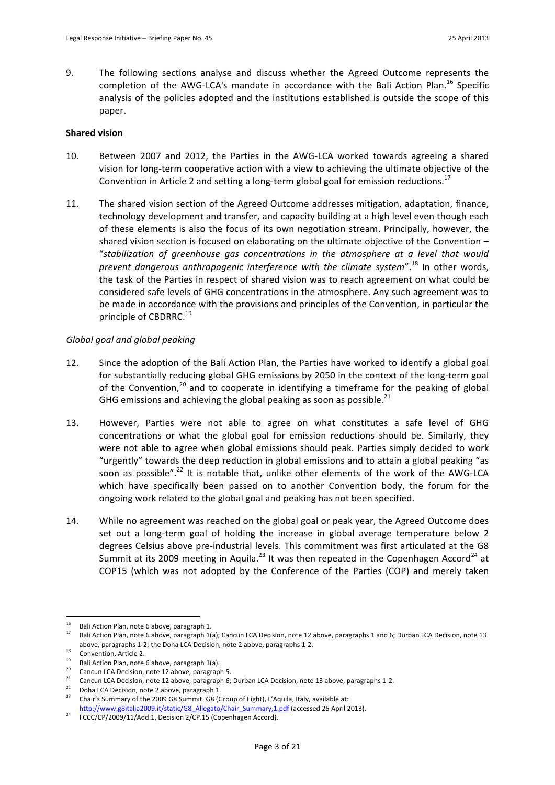9. The following sections analyse and discuss whether the Agreed Outcome represents the completion of the AWG-LCA's mandate in accordance with the Bali Action Plan.<sup>16</sup> Specific analysis of the policies adopted and the institutions established is outside the scope of this paper.

## **Shared vision**

- 10. Between 2007 and 2012, the Parties in the AWG-LCA worked towards agreeing a shared vision for long-term cooperative action with a view to achieving the ultimate objective of the Convention in Article 2 and setting a long-term global goal for emission reductions.<sup>17</sup>
- 11. The shared vision section of the Agreed Outcome addresses mitigation, adaptation, finance, technology development and transfer, and capacity building at a high level even though each of these elements is also the focus of its own negotiation stream. Principally, however, the shared vision section is focused on elaborating on the ultimate objective of the Convention  $-$ "stabilization of greenhouse gas concentrations in the atmosphere at a level that would *prevent dangerous anthropogenic interference with the climate system"*.<sup>18</sup> In other words, the task of the Parties in respect of shared vision was to reach agreement on what could be considered safe levels of GHG concentrations in the atmosphere. Any such agreement was to be made in accordance with the provisions and principles of the Convention, in particular the principle of CBDRRC.<sup>19</sup>

# Global goal and global peaking

- 12. Since the adoption of the Bali Action Plan, the Parties have worked to identify a global goal for substantially reducing global GHG emissions by 2050 in the context of the long-term goal of the Convention,<sup>20</sup> and to cooperate in identifying a timeframe for the peaking of global GHG emissions and achieving the global peaking as soon as possible. $^{21}$
- 13. However, Parties were not able to agree on what constitutes a safe level of GHG concentrations or what the global goal for emission reductions should be. Similarly, they were not able to agree when global emissions should peak. Parties simply decided to work "urgently" towards the deep reduction in global emissions and to attain a global peaking "as soon as possible".<sup>22</sup> It is notable that, unlike other elements of the work of the AWG-LCA which have specifically been passed on to another Convention body, the forum for the ongoing work related to the global goal and peaking has not been specified.
- 14. While no agreement was reached on the global goal or peak year, the Agreed Outcome does set out a long-term goal of holding the increase in global average temperature below 2 degrees Celsius above pre-industrial levels. This commitment was first articulated at the G8 Summit at its 2009 meeting in Aquila.<sup>23</sup> It was then repeated in the Copenhagen Accord<sup>24</sup> at COP15 (which was not adopted by the Conference of the Parties (COP) and merely taken

 $16^{1}$ 

<sup>&</sup>lt;sup>16</sup> Bali Action Plan, note 6 above, paragraph 1.<br><sup>17</sup> Bali Action Plan, note 6 above, paragraph 1(a); Cancun LCA Decision, note 12 above, paragraphs 1 and 6; Durban LCA Decision, note 13 above, paragraphs 1-2; the Doha LCA Decision, note 2 above, paragraphs 1-2.

 $18$  Convention, Article 2.

<sup>&</sup>lt;sup>19</sup> Bali Action Plan, note 6 above, paragraph 1(a).<br><sup>20</sup> Cancun LCA Decision, note 12 above, paragraph 5.

<sup>&</sup>lt;sup>21</sup> Cancun LCA Decision, note 12 above, paragraph 6; Durban LCA Decision, note 13 above, paragraphs 1-2.<br><sup>22</sup> Doha LCA Decision, note 2 above, paragraph 1.

<sup>23</sup> Doha Edit Bechsion, note 2 doote, paragraphe 1.<br><sup>23</sup> Chair's Summary of the 2009 G8 Summit. G8 (Group of Eight), L'Aquila, Italy, available at:

http://www.g8italia2009.it/static/G8\_Allegato/Chair\_Summary,1.pdf (accessed 25 April 2013).

FCCC/CP/2009/11/Add.1, Decision 2/CP.15 (Copenhagen Accord).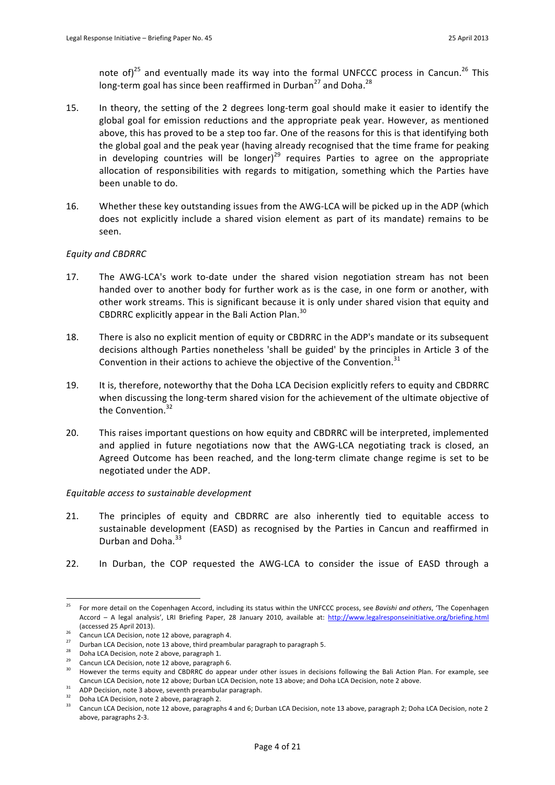note of)<sup>25</sup> and eventually made its way into the formal UNFCCC process in Cancun.<sup>26</sup> This long-term goal has since been reaffirmed in Durban<sup>27</sup> and Doha.<sup>28</sup>

- 15. In theory, the setting of the 2 degrees long-term goal should make it easier to identify the global goal for emission reductions and the appropriate peak year. However, as mentioned above, this has proved to be a step too far. One of the reasons for this is that identifying both the global goal and the peak year (having already recognised that the time frame for peaking in developing countries will be longer)<sup>29</sup> requires Parties to agree on the appropriate allocation of responsibilities with regards to mitigation, something which the Parties have been unable to do.
- 16. Whether these key outstanding issues from the AWG-LCA will be picked up in the ADP (which does not explicitly include a shared vision element as part of its mandate) remains to be seen.

# *Equity!and!CBDRRC*

- 17. The AWG-LCA's work to-date under the shared vision negotiation stream has not been handed over to another body for further work as is the case, in one form or another, with other work streams. This is significant because it is only under shared vision that equity and CBDRRC explicitly appear in the Bali Action Plan.<sup>30</sup>
- 18. There is also no explicit mention of equity or CBDRRC in the ADP's mandate or its subsequent decisions although Parties nonetheless 'shall be guided' by the principles in Article 3 of the Convention in their actions to achieve the objective of the Convention.<sup>31</sup>
- 19. It is, therefore, noteworthy that the Doha LCA Decision explicitly refers to equity and CBDRRC when discussing the long-term shared vision for the achievement of the ultimate objective of the Convention.<sup>32</sup>
- 20. This raises important questions on how equity and CBDRRC will be interpreted, implemented and applied in future negotiations now that the AWG-LCA negotiating track is closed, an Agreed Outcome has been reached, and the long-term climate change regime is set to be negotiated under the ADP.

### *Equitable access to sustainable development*

- 21. The principles of equity and CBDRRC are also inherently tied to equitable access to sustainable development (EASD) as recognised by the Parties in Cancun and reaffirmed in Durban and Doha.<sup>33</sup>
- 22. In Durban, the COP requested the AWG-LCA to consider the issue of EASD through a

<sup>25</sup> For more detail on the Copenhagen Accord, including its status within the UNFCCC process, see Bavishi and others, 'The Copenhagen Accord - A legal analysis', LRI Briefing Paper, 28 January 2010, available at: http://www.legalresponseinitiative.org/briefing.html

<sup>(</sup>accessed 25 April 2013).<br><sup>26</sup> Cancun LCA Decision, note 12 above, paragraph 4.

<sup>&</sup>lt;sup>27</sup> Durban LCA Decision, note 13 above, third preambular paragraph to paragraph 5.

Doha LCA Decision, note 2 above, paragraph 1.

<sup>&</sup>lt;sup>29</sup> Cancun LCA Decision, note 12 above, paragraph 6.<br><sup>30</sup> However the terms equity and CBDRRC do appear under other issues in decisions following the Bali Action Plan. For example, see Cancun LCA Decision, note 12 above; Durban LCA Decision, note 13 above; and Doha LCA Decision, note 2 above.

<sup>&</sup>lt;sup>31</sup> ADP Decision, note 3 above, seventh preambular paragraph.<br><sup>32</sup> Doha LCA Decision, note 2 above, paragraph 2.

Cancun LCA Decision, note 12 above, paragraphs 4 and 6; Durban LCA Decision, note 13 above, paragraph 2; Doha LCA Decision, note 2 above, paragraphs 2-3.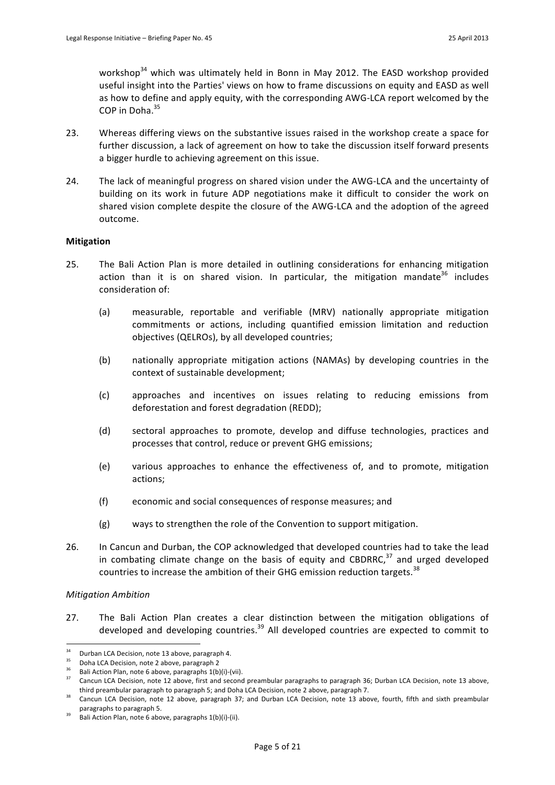workshop<sup>34</sup> which was ultimately held in Bonn in May 2012. The EASD workshop provided useful insight into the Parties' views on how to frame discussions on equity and EASD as well as how to define and apply equity, with the corresponding AWG-LCA report welcomed by the  $COP$  in Doha. $35$ 

- 23. Whereas differing views on the substantive issues raised in the workshop create a space for further discussion, a lack of agreement on how to take the discussion itself forward presents a bigger hurdle to achieving agreement on this issue.
- 24. The lack of meaningful progress on shared vision under the AWG-LCA and the uncertainty of building on its work in future ADP negotiations make it difficult to consider the work on shared vision complete despite the closure of the AWG-LCA and the adoption of the agreed outcome.

# **Mitigation**

- 25. The Bali Action Plan is more detailed in outlining considerations for enhancing mitigation action than it is on shared vision. In particular, the mitigation mandate $36$  includes consideration of:
	- (a) measurable, reportable and verifiable (MRV) nationally appropriate mitigation commitments or actions, including quantified emission limitation and reduction objectives (QELROs), by all developed countries;
	- (b) nationally appropriate mitigation actions (NAMAs) by developing countries in the context of sustainable development;
	- (c) approaches and incentives on issues relating to reducing emissions from deforestation and forest degradation (REDD);
	- (d) sectoral approaches to promote, develop and diffuse technologies, practices and processes that control, reduce or prevent GHG emissions;
	- (e) various approaches to enhance the effectiveness of, and to promote, mitigation actions;
	- (f) economic and social consequences of response measures; and
	- (g) ways to strengthen the role of the Convention to support mitigation.
- 26. In Cancun and Durban, the COP acknowledged that developed countries had to take the lead in combating climate change on the basis of equity and CBDRRC, $37$  and urged developed countries to increase the ambition of their GHG emission reduction targets.<sup>38</sup>

### *Mitigation!Ambition*

27. The Bali Action Plan creates a clear distinction between the mitigation obligations of developed and developing countries.<sup>39</sup> All developed countries are expected to commit to

<sup>34</sup> <sup>34</sup> Durban LCA Decision, note 13 above, paragraph 4.

<sup>&</sup>lt;sup>35</sup> Doha LCA Decision, note 2 above, paragraph 2<br><sup>36</sup> Bali Action Plan, note 6 above, paragraphs  $1(b)(i)-(vii)$ .<br><sup>37</sup> Contrained A Decision and the 20st paragraphs  $1(b)(i)-(vi)$ .

Cancun LCA Decision, note 12 above, first and second preambular paragraphs to paragraph 36; Durban LCA Decision, note 13 above, third preambular paragraph to paragraph 5; and Doha LCA Decision, note 2 above, paragraph 7.<br><sup>38</sup> Cancun LCA Decision, note 12 above, paragraph 37; and Durban LCA Decision, note 13 above, fourth, fifth and sixth preambular

paragraphs to paragraph 5.

Bali Action Plan, note 6 above, paragraphs 1(b)(i)-(ii).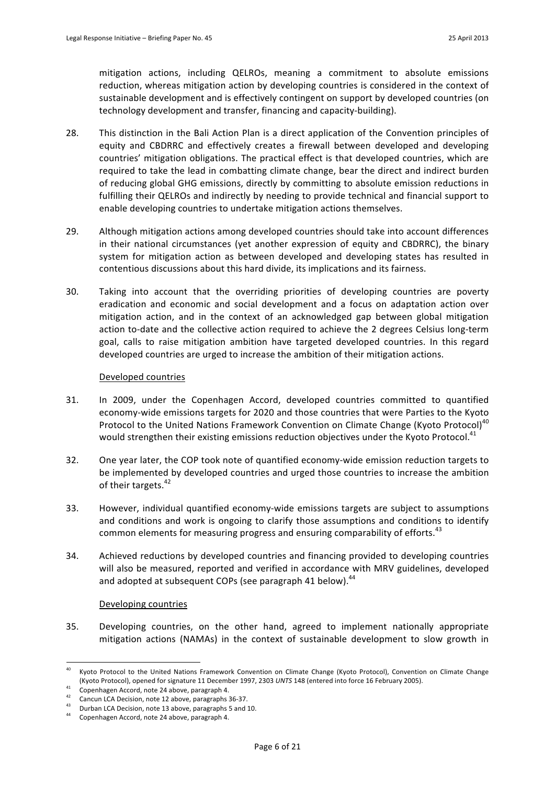mitigation actions, including QELROs, meaning a commitment to absolute emissions reduction, whereas mitigation action by developing countries is considered in the context of sustainable development and is effectively contingent on support by developed countries (on technology development and transfer, financing and capacity-building).

- 28. This distinction in the Bali Action Plan is a direct application of the Convention principles of equity and CBDRRC and effectively creates a firewall between developed and developing countries' mitigation obligations. The practical effect is that developed countries, which are required to take the lead in combatting climate change, bear the direct and indirect burden of reducing global GHG emissions, directly by committing to absolute emission reductions in fulfilling their QELROs and indirectly by needing to provide technical and financial support to enable developing countries to undertake mitigation actions themselves.
- 29. Although mitigation actions among developed countries should take into account differences in their national circumstances (yet another expression of equity and CBDRRC), the binary system for mitigation action as between developed and developing states has resulted in contentious discussions about this hard divide, its implications and its fairness.
- 30. Taking into account that the overriding priorities of developing countries are poverty eradication and economic and social development and a focus on adaptation action over mitigation action, and in the context of an acknowledged gap between global mitigation action to-date and the collective action required to achieve the 2 degrees Celsius long-term goal, calls to raise mitigation ambition have targeted developed countries. In this regard developed countries are urged to increase the ambition of their mitigation actions.

### Developed countries

- 31. In 2009, under the Copenhagen Accord, developed countries committed to quantified economy-wide emissions targets for 2020 and those countries that were Parties to the Kyoto Protocol to the United Nations Framework Convention on Climate Change (Kyoto Protocol)<sup>40</sup> would strengthen their existing emissions reduction objectives under the Kyoto Protocol.<sup>41</sup>
- 32. One year later, the COP took note of quantified economy-wide emission reduction targets to be implemented by developed countries and urged those countries to increase the ambition of their targets.<sup>42</sup>
- 33. However, individual quantified economy-wide emissions targets are subject to assumptions and conditions and work is ongoing to clarify those assumptions and conditions to identify common elements for measuring progress and ensuring comparability of efforts.<sup>43</sup>
- 34. Achieved reductions by developed countries and financing provided to developing countries will also be measured, reported and verified in accordance with MRV guidelines, developed and adopted at subsequent COPs (see paragraph 41 below).<sup>44</sup>

### Developing countries

35. Developing countries, on the other hand, agreed to implement nationally appropriate mitigation actions (NAMAs) in the context of sustainable development to slow growth in

Kyoto Protocol to the United Nations Framework Convention on Climate Change (Kyoto Protocol), Convention on Climate Change (Kyoto Protocol), opened for signature 11 December 1997, 2303 *UNTS* 148 (entered into force 16 February 2005).<br>Copenhagen Accord, note 24 above, paragraph 4.

<sup>&</sup>lt;sup>41</sup> Copenhagen Accord, note 24 above, paragraph 4.<br>
<sup>42</sup> Cancun LCA Decision, note 12 above, paragraphs 36-37.

Durban LCA Decision, note 13 above, paragraphs 5 and 10.

Copenhagen Accord, note 24 above, paragraph 4.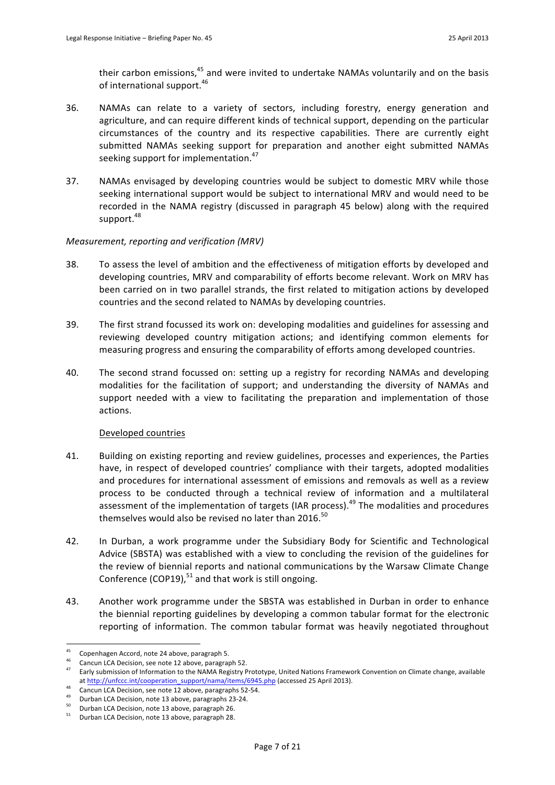their carbon emissions,<sup>45</sup> and were invited to undertake NAMAs voluntarily and on the basis of international support. $46$ 

- 36. NAMAs can relate to a variety of sectors, including forestry, energy generation and agriculture, and can require different kinds of technical support, depending on the particular circumstances of the country and its respective capabilities. There are currently eight submitted NAMAs seeking support for preparation and another eight submitted NAMAs seeking support for implementation.<sup>47</sup>
- 37. NAMAs envisaged by developing countries would be subject to domestic MRV while those seeking international support would be subject to international MRV and would need to be recorded in the NAMA registry (discussed in paragraph 45 below) along with the required support.<sup>48</sup>

# *Measurement, reporting and verification (MRV)*

- 38. To assess the level of ambition and the effectiveness of mitigation efforts by developed and developing countries, MRV and comparability of efforts become relevant. Work on MRV has been carried on in two parallel strands, the first related to mitigation actions by developed countries and the second related to NAMAs by developing countries.
- 39. The first strand focussed its work on: developing modalities and guidelines for assessing and reviewing developed country mitigation actions; and identifying common elements for measuring progress and ensuring the comparability of efforts among developed countries.
- 40. The second strand focussed on: setting up a registry for recording NAMAs and developing modalities for the facilitation of support; and understanding the diversity of NAMAs and support needed with a view to facilitating the preparation and implementation of those actions.

# Developed countries

- 41. Building on existing reporting and review guidelines, processes and experiences, the Parties have, in respect of developed countries' compliance with their targets, adopted modalities and procedures for international assessment of emissions and removals as well as a review process to be conducted through a technical review of information and a multilateral assessment of the implementation of targets (IAR process).<sup>49</sup> The modalities and procedures themselves would also be revised no later than 2016.<sup>50</sup>
- 42. In Durban, a work programme under the Subsidiary Body for Scientific and Technological Advice (SBSTA) was established with a view to concluding the revision of the guidelines for the review of biennial reports and national communications by the Warsaw Climate Change Conference (COP19), $51$  and that work is still ongoing.
- 43. Another work programme under the SBSTA was established in Durban in order to enhance the biennial reporting guidelines by developing a common tabular format for the electronic reporting of information. The common tabular format was heavily negotiated throughout

<sup>45</sup> Copenhagen Accord, note 24 above, paragraph 5.

<sup>&</sup>lt;sup>46</sup> Cancun LCA Decision, see note 12 above, paragraph 52.<br><sup>47</sup> Early submission of Information to the NAMA Registry Prototype, United Nations Framework Convention on Climate change, available at http://unfccc.int/cooperation\_support/nama/items/6945.php (accessed 25 April 2013).

<sup>48</sup> Cancun LCA Decision, see note 12 above, paragraphs 52-54.<br>
Durban LCA Decision, note 13 above, paragraphs 23-24.

<sup>&</sup>lt;sup>50</sup> Durban LCA Decision, note 13 above, paragraph 26.

Durban LCA Decision, note 13 above, paragraph 28.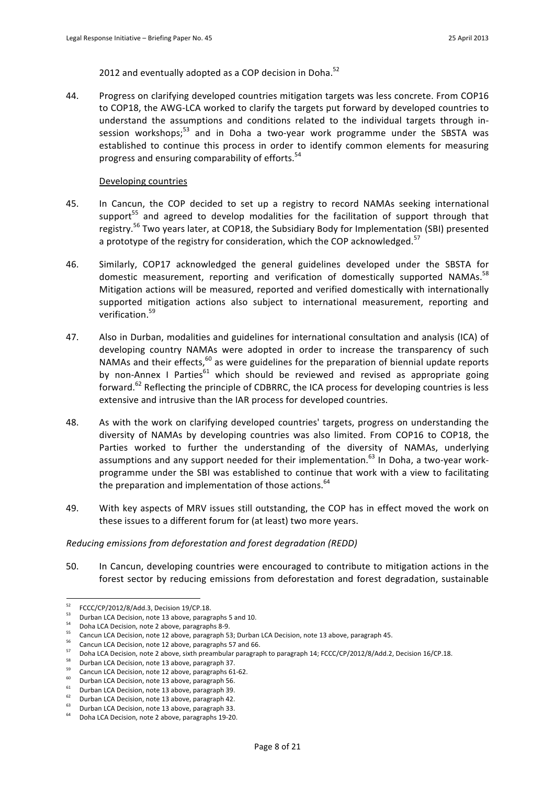2012 and eventually adopted as a COP decision in Doha.<sup>52</sup>

44. Progress on clarifying developed countries mitigation targets was less concrete. From COP16 to COP18, the AWG-LCA worked to clarify the targets put forward by developed countries to understand the assumptions and conditions related to the individual targets through insession workshops; $53$  and in Doha a two-year work programme under the SBSTA was established to continue this process in order to identify common elements for measuring progress and ensuring comparability of efforts.<sup>54</sup>

#### Developing countries

- 45. In Cancun, the COP decided to set up a registry to record NAMAs seeking international support<sup>55</sup> and agreed to develop modalities for the facilitation of support through that registry.<sup>56</sup> Two years later, at COP18, the Subsidiary Body for Implementation (SBI) presented a prototype of the registry for consideration, which the COP acknowledged.<sup>57</sup>
- 46. Similarly, COP17 acknowledged the general guidelines developed under the SBSTA for domestic measurement, reporting and verification of domestically supported NAMAs.<sup>58</sup> Mitigation actions will be measured, reported and verified domestically with internationally supported mitigation actions also subject to international measurement, reporting and verification.59
- 47. Also in Durban, modalities and guidelines for international consultation and analysis (ICA) of developing country NAMAs were adopted in order to increase the transparency of such NAMAs and their effects, $60$  as were guidelines for the preparation of biennial update reports by non-Annex I Parties<sup>61</sup> which should be reviewed and revised as appropriate going forward.<sup>62</sup> Reflecting the principle of CDBRRC, the ICA process for developing countries is less extensive and intrusive than the IAR process for developed countries.
- 48. As with the work on clarifying developed countries' targets, progress on understanding the diversity of NAMAs by developing countries was also limited. From COP16 to COP18, the Parties worked to further the understanding of the diversity of NAMAs, underlying assumptions and any support needed for their implementation.<sup>63</sup> In Doha, a two-year workprogramme under the SBI was established to continue that work with a view to facilitating the preparation and implementation of those actions. $64$
- 49. With key aspects of MRV issues still outstanding, the COP has in effect moved the work on these issues to a different forum for (at least) two more years.

#### *Reducing emissions from deforestation and forest degradation (REDD)*

50. In Cancun, developing countries were encouraged to contribute to mitigation actions in the forest sector by reducing emissions from deforestation and forest degradation, sustainable

 $52$ FCCC/CP/2012/8/Add.3, Decision 19/CP.18.

 $\frac{53}{54}$  Durban LCA Decision, note 13 above, paragraphs 5 and 10.

<sup>&</sup>lt;sup>54</sup> Doha LCA Decision, note 2 above, paragraphs 8-9.<br><sup>55</sup> Cancun LCA Decision, note 12 above, paragraph 53; Durban LCA Decision, note 13 above, paragraph 45.

 $55$  Cancun LCA Decision, note 12 above, paragraphs 57 and 66.

<sup>&</sup>lt;sup>57</sup> Doha LCA Decision, note 2 above, sixth preambular paragraph to paragraph 14; FCCC/CP/2012/8/Add.2, Decision 16/CP.18.

<sup>&</sup>lt;sup>58</sup> Durban LCA Decision, note 13 above, paragraph 37.<br>
Cancun LCA Decision, note 12 above, paragraphs 61-62.

 $^{60}$  Durban LCA Decision, note 13 above, paragraph 56.

<sup>&</sup>lt;sup>61</sup> Durban LCA Decision, note 13 above, paragraph 39. **Durban LCA Decision, note 13** above, paragraph 42.

Durban LCA Decision, note 13 above, paragraph 33.

Doha LCA Decision, note 2 above, paragraphs 19-20.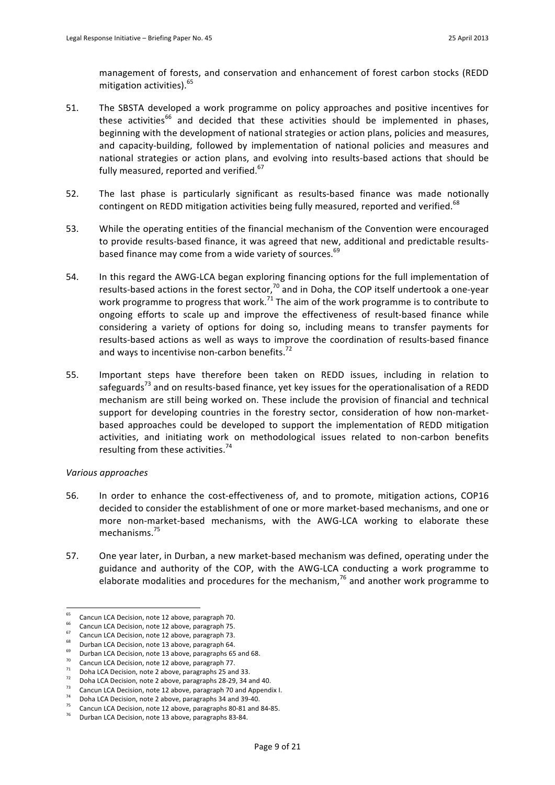management of forests, and conservation and enhancement of forest carbon stocks (REDD mitigation activities).<sup>65</sup>

- 51. The SBSTA developed a work programme on policy approaches and positive incentives for these activities<sup>66</sup> and decided that these activities should be implemented in phases. beginning with the development of national strategies or action plans, policies and measures, and capacity-building, followed by implementation of national policies and measures and national strategies or action plans, and evolving into results-based actions that should be fully measured, reported and verified.<sup>67</sup>
- 52. The last phase is particularly significant as results-based finance was made notionally contingent on REDD mitigation activities being fully measured, reported and verified.<sup>68</sup>
- 53. While the operating entities of the financial mechanism of the Convention were encouraged to provide results-based finance, it was agreed that new, additional and predictable resultsbased finance may come from a wide variety of sources.<sup>69</sup>
- 54. In this regard the AWG-LCA began exploring financing options for the full implementation of results-based actions in the forest sector,<sup>70</sup> and in Doha, the COP itself undertook a one-year work programme to progress that work.<sup>71</sup> The aim of the work programme is to contribute to ongoing efforts to scale up and improve the effectiveness of result-based finance while considering a variety of options for doing so, including means to transfer payments for results-based actions as well as ways to improve the coordination of results-based finance and ways to incentivise non-carbon benefits.<sup>72</sup>
- 55. Important steps have therefore been taken on REDD issues, including in relation to safeguards<sup>73</sup> and on results-based finance, yet key issues for the operationalisation of a REDD mechanism are still being worked on. These include the provision of financial and technical support for developing countries in the forestry sector, consideration of how non-marketbased approaches could be developed to support the implementation of REDD mitigation activities, and initiating work on methodological issues related to non-carbon benefits resulting from these activities.<sup>74</sup>

### *Various!approaches*

- 56. In order to enhance the cost-effectiveness of, and to promote, mitigation actions, COP16 decided to consider the establishment of one or more market-based mechanisms, and one or more non-market-based mechanisms, with the AWG-LCA working to elaborate these mechanisms.<sup>75</sup>
- 57. One year later, in Durban, a new market-based mechanism was defined, operating under the guidance and authority of the COP, with the AWG-LCA conducting a work programme to elaborate modalities and procedures for the mechanism,<sup>76</sup> and another work programme to

<sup>65</sup> <sup>65</sup> Cancun LCA Decision, note 12 above, paragraph 70.

<sup>&</sup>lt;sup>66</sup> Cancun LCA Decision, note 12 above, paragraph 75. **67** Cancun LCA Decision, note 12 above, paragraph 73.

 $^{68}$  Durban LCA Decision, note 13 above, paragraph 64.

<sup>&</sup>lt;sup>69</sup> Durban LCA Decision, note 13 above, paragraphs 65 and 68.

 $\frac{70}{71}$  Cancun LCA Decision, note 12 above, paragraph 77.<br>The Doha LCA Decision, note 2 above, paragraphs 25 and 33.

 $^{22}$  Doha LCA Decision, note 2 above, paragraphs 28-29, 34 and 40.

<sup>&</sup>lt;sup>73</sup> Cancun LCA Decision, note 12 above, paragraph 70 and Appendix I. 74 Doha LCA Decision, note 2 above, paragraphs 34 and 39-40.

Cancun LCA Decision, note 12 above, paragraphs 80-81 and 84-85.

Durban LCA Decision, note 13 above, paragraphs 83-84.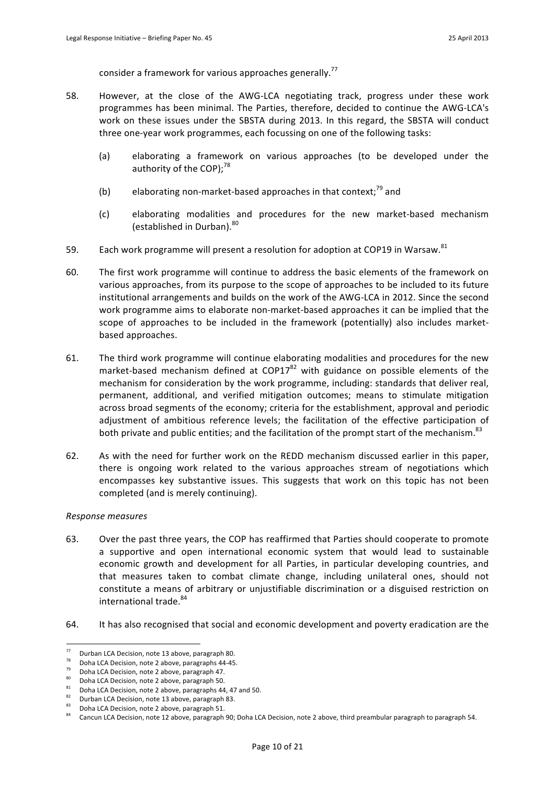consider a framework for various approaches generally.<sup>77</sup>

- 58. However, at the close of the AWG-LCA negotiating track, progress under these work programmes has been minimal. The Parties, therefore, decided to continue the AWG-LCA's work on these issues under the SBSTA during 2013. In this regard, the SBSTA will conduct three one-year work programmes, each focussing on one of the following tasks:
	- (a) elaborating a framework on various approaches (to be developed under the authority of the COP); $^{78}$
	- (b) elaborating non-market-based approaches in that context; $^{79}$  and
	- (c) elaborating modalities and procedures for the new market-based mechanism (established in Durban).<sup>80</sup>
- 59. Each work programme will present a resolution for adoption at COP19 in Warsaw.<sup>81</sup>
- 60. The first work programme will continue to address the basic elements of the framework on various approaches, from its purpose to the scope of approaches to be included to its future institutional arrangements and builds on the work of the AWG-LCA in 2012. Since the second work programme aims to elaborate non-market-based approaches it can be implied that the scope of approaches to be included in the framework (potentially) also includes marketbased approaches.
- 61. The third work programme will continue elaborating modalities and procedures for the new market-based mechanism defined at COP17 $^{82}$  with guidance on possible elements of the mechanism for consideration by the work programme, including: standards that deliver real, permanent, additional, and verified mitigation outcomes; means to stimulate mitigation across broad segments of the economy; criteria for the establishment, approval and periodic adjustment of ambitious reference levels; the facilitation of the effective participation of both private and public entities; and the facilitation of the prompt start of the mechanism.<sup>83</sup>
- 62. As with the need for further work on the REDD mechanism discussed earlier in this paper, there is ongoing work related to the various approaches stream of negotiations which encompasses key substantive issues. This suggests that work on this topic has not been completed (and is merely continuing).

### *Response!measures*

- 63. Over the past three years, the COP has reaffirmed that Parties should cooperate to promote a supportive and open international economic system that would lead to sustainable economic growth and development for all Parties, in particular developing countries, and that measures taken to combat climate change, including unilateral ones, should not constitute a means of arbitrary or unjustifiable discrimination or a disguised restriction on international trade.<sup>84</sup>
- 64. It has also recognised that social and economic development and poverty eradication are the

 $\overline{77}$  $\frac{78}{28}$  Durban LCA Decision, note 13 above, paragraph 80.

<sup>&</sup>lt;sup>78</sup> Doha LCA Decision, note 2 above, paragraphs 44-45.<br><sup>79</sup> Doha LCA Decision, note 2 above, paragraph 47.

<sup>80</sup> Doha LCA Decision, note 2 above, paragraph 50.

<sup>81</sup> Doha LCA Decision, note 2 above, paragraphs 44, 47 and 50.<br>Baza Durban LCA Decision, note 13 above, paragraph 83.

Doha LCA Decision, note 2 above, paragraph 51.

Cancun LCA Decision, note 12 above, paragraph 90; Doha LCA Decision, note 2 above, third preambular paragraph to paragraph 54.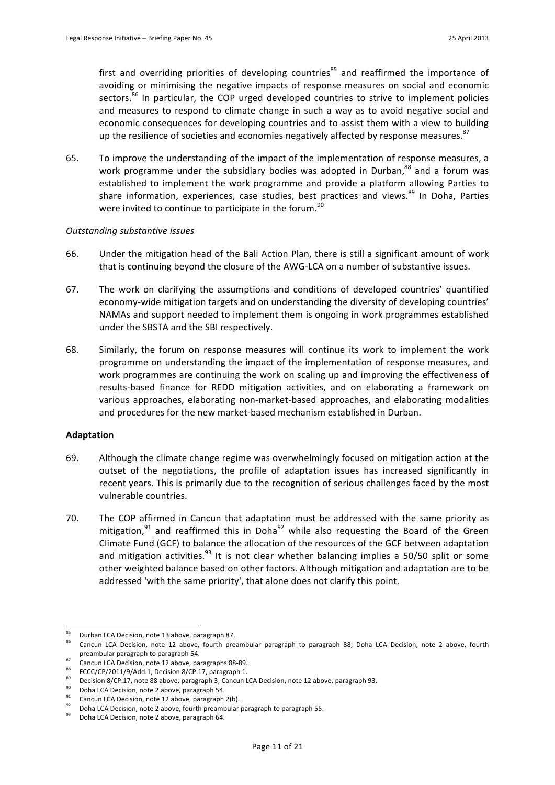first and overriding priorities of developing countries<sup>85</sup> and reaffirmed the importance of avoiding or minimising the negative impacts of response measures on social and economic sectors.<sup>86</sup> In particular, the COP urged developed countries to strive to implement policies and measures to respond to climate change in such a way as to avoid negative social and economic consequences for developing countries and to assist them with a view to building up the resilience of societies and economies negatively affected by response measures.<sup>87</sup>

65. To improve the understanding of the impact of the implementation of response measures, a work programme under the subsidiary bodies was adopted in Durban,<sup>88</sup> and a forum was established to implement the work programme and provide a platform allowing Parties to share information, experiences, case studies, best practices and views.<sup>89</sup> In Doha, Parties were invited to continue to participate in the forum.<sup>90</sup>

### *Outstanding!substantive!issues*

- 66. Under the mitigation head of the Bali Action Plan, there is still a significant amount of work that is continuing beyond the closure of the AWG-LCA on a number of substantive issues.
- 67. The work on clarifying the assumptions and conditions of developed countries' quantified economy-wide mitigation targets and on understanding the diversity of developing countries' NAMAs and support needed to implement them is ongoing in work programmes established under the SBSTA and the SBI respectively.
- 68. Similarly, the forum on response measures will continue its work to implement the work programme on understanding the impact of the implementation of response measures, and work programmes are continuing the work on scaling up and improving the effectiveness of results-based finance for REDD mitigation activities, and on elaborating a framework on various approaches, elaborating non-market-based approaches, and elaborating modalities and procedures for the new market-based mechanism established in Durban.

### **Adaptation**

- 69. Although the climate change regime was overwhelmingly focused on mitigation action at the outset of the negotiations, the profile of adaptation issues has increased significantly in recent years. This is primarily due to the recognition of serious challenges faced by the most vulnerable countries.
- 70. The COP affirmed in Cancun that adaptation must be addressed with the same priority as mitigation, $91$  and reaffirmed this in Doha<sup>92</sup> while also requesting the Board of the Green Climate Fund (GCF) to balance the allocation of the resources of the GCF between adaptation and mitigation activities.<sup>93</sup> It is not clear whether balancing implies a 50/50 split or some other weighted balance based on other factors. Although mitigation and adaptation are to be addressed 'with the same priority', that alone does not clarify this point.

<sup>85</sup> <sup>85</sup> Durban LCA Decision, note 13 above, paragraph 87.

Cancun LCA Decision, note 12 above, fourth preambular paragraph to paragraph 88; Doha LCA Decision, note 2 above, fourth preambular paragraph to paragraph 54.

<sup>87</sup> Cancun LCA Decision, note 12 above, paragraphs 88-89.<br>88 FCCC/CP/2011/9/Add.1, Decision 8/CP.17, paragraph 1.

<sup>&</sup>lt;sup>89</sup> Decision 8/CP.17, note 88 above, paragraph 3; Cancun LCA Decision, note 12 above, paragraph 93.

<sup>90</sup> Doha LCA Decision, note 2 above, paragraph 54.<br>
Cancun LCA Decision, note 12 above, paragraph 2(b).

<sup>92</sup> Doha LCA Decision, note 2 above, fourth preambular paragraph to paragraph 55.

Doha LCA Decision, note 2 above, paragraph 64.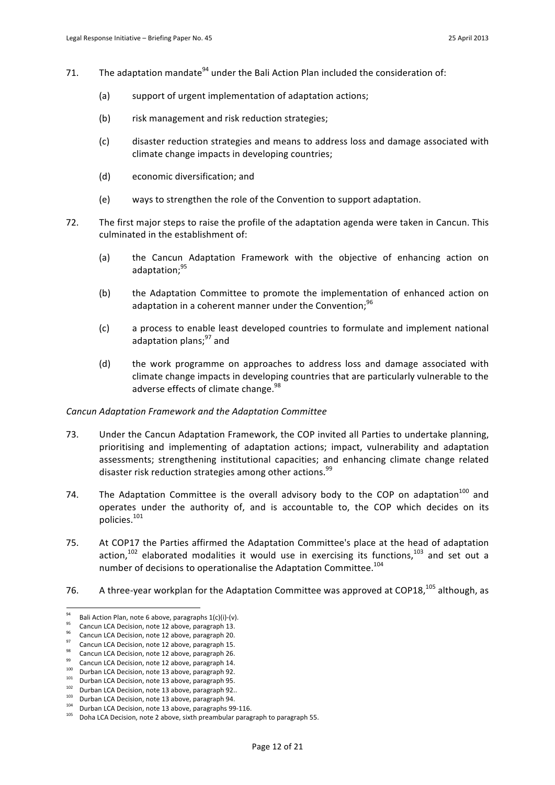- 71. The adaptation mandate<sup>94</sup> under the Bali Action Plan included the consideration of:
	- (a) support of urgent implementation of adaptation actions;
	- (b) risk management and risk reduction strategies;
	- (c) disaster reduction strategies and means to address loss and damage associated with climate change impacts in developing countries;
	- (d) economic diversification; and
	- (e) ways to strengthen the role of the Convention to support adaptation.
- 72. The first major steps to raise the profile of the adaptation agenda were taken in Cancun. This culminated in the establishment of:
	- (a) the Cancun Adaptation Framework with the objective of enhancing action on adaptation;<sup>95</sup>
	- (b) the Adaptation Committee to promote the implementation of enhanced action on adaptation in a coherent manner under the Convention;<sup>96</sup>
	- (c) a process to enable least developed countries to formulate and implement national adaptation plans;<sup>97</sup> and
	- (d) the work programme on approaches to address loss and damage associated with climate change impacts in developing countries that are particularly vulnerable to the adverse effects of climate change.<sup>98</sup>

### *Cancun!Adaptation!Framework!and!the!Adaptation!Committee*

- 73. Under the Cancun Adaptation Framework, the COP invited all Parties to undertake planning, prioritising and implementing of adaptation actions; impact, vulnerability and adaptation assessments; strengthening institutional capacities; and enhancing climate change related disaster risk reduction strategies among other actions.<sup>99</sup>
- 74. The Adaptation Committee is the overall advisory body to the COP on adaptation<sup>100</sup> and operates under the authority of, and is accountable to, the COP which decides on its policies. 101
- 75. At COP17 the Parties affirmed the Adaptation Committee's place at the head of adaptation action,<sup>102</sup> elaborated modalities it would use in exercising its functions,<sup>103</sup> and set out a number of decisions to operationalise the Adaptation Committee.<sup>104</sup>
- 76. A three-year workplan for the Adaptation Committee was approved at COP18,<sup>105</sup> although, as

<sup>94</sup> <sup>94</sup> Bali Action Plan, note 6 above, paragraphs  $1(c)(i)-(v)$ .

<sup>95</sup> Cancun LCA Decision, note 12 above, paragraph 13. 96 Cancun LCA Decision, note 12 above, paragraph 20.

Cancun LCA Decision, note 12 above, paragraph 15.

<sup>&</sup>lt;sup>98</sup> Cancun LCA Decision, note 12 above, paragraph 26.

 $\frac{99}{100}$  Cancun LCA Decision, note 12 above, paragraph 14. Durban LCA Decision, note 13 above, paragraph 92.

<sup>101</sup> Durban LCA Decision, note 13 above, paragraph 95.

<sup>102</sup> Durban LCA Decision, note 13 above, paragraph 92..<br>103 Durban LCA Decision, note 13 above, paragraph 94.

<sup>&</sup>lt;sup>104</sup> Durban LCA Decision, note 13 above, paragraphs 99-116. Doha LCA Decision, note 2 above, sixth preambular paragraph to paragraph 55.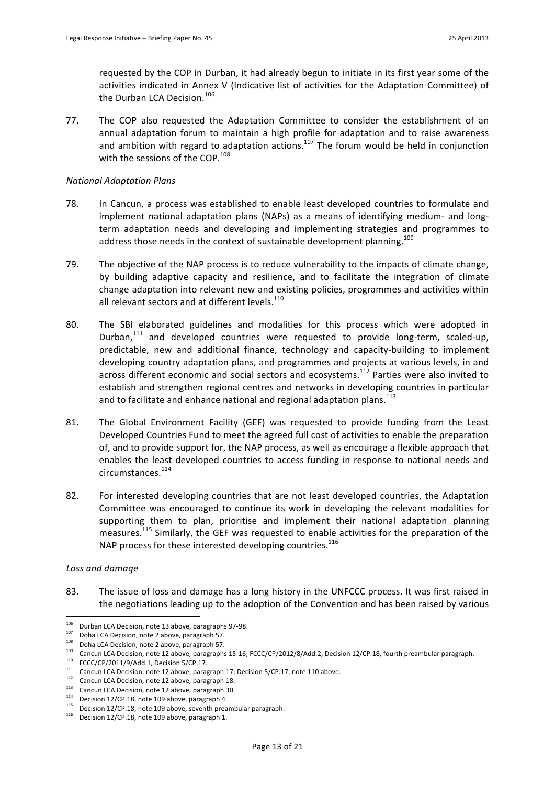requested by the COP in Durban, it had already begun to initiate in its first year some of the activities indicated in Annex V (Indicative list of activities for the Adaptation Committee) of the Durban LCA Decision.<sup>106</sup>

77. The COP also requested the Adaptation Committee to consider the establishment of an annual adaptation forum to maintain a high profile for adaptation and to raise awareness and ambition with regard to adaptation actions.<sup>107</sup> The forum would be held in conjunction with the sessions of the COP.<sup>108</sup>

## *National!Adaptation!Plans*

- 78. In Cancun, a process was established to enable least developed countries to formulate and implement national adaptation plans (NAPs) as a means of identifying medium- and longterm adaptation needs and developing and implementing strategies and programmes to address those needs in the context of sustainable development planning.<sup>109</sup>
- 79. The objective of the NAP process is to reduce vulnerability to the impacts of climate change, by building adaptive capacity and resilience, and to facilitate the integration of climate change adaptation into relevant new and existing policies, programmes and activities within all relevant sectors and at different levels.<sup>110</sup>
- 80. The SBI elaborated guidelines and modalities for this process which were adopted in Durban, $111$  and developed countries were requested to provide long-term, scaled-up, predictable, new and additional finance, technology and capacity-building to implement developing country adaptation plans, and programmes and projects at various levels, in and across different economic and social sectors and ecosystems.<sup>112</sup> Parties were also invited to establish and strengthen regional centres and networks in developing countries in particular and to facilitate and enhance national and regional adaptation plans.<sup>113</sup>
- 81. The Global Environment Facility (GEF) was requested to provide funding from the Least Developed Countries Fund to meet the agreed full cost of activities to enable the preparation of, and to provide support for, the NAP process, as well as encourage a flexible approach that enables the least developed countries to access funding in response to national needs and circumstances.<sup>114</sup>
- 82. For interested developing countries that are not least developed countries, the Adaptation Committee was encouraged to continue its work in developing the relevant modalities for supporting them to plan, prioritise and implement their national adaptation planning measures.<sup>115</sup> Similarly, the GEF was requested to enable activities for the preparation of the NAP process for these interested developing countries.<sup>116</sup>

# Loss and damage

83. The issue of loss and damage has a long history in the UNFCCC process. It was first raised in the negotiations leading up to the adoption of the Convention and has been raised by various

<sup>106</sup> <sup>106</sup> Durban LCA Decision, note 13 above, paragraphs 97-98.<br><sup>107</sup> Doha LCA Decision, note 2 above, paragraph 57.

 $108$  Doha LCA Decision, note 2 above, paragraph 57.

<sup>&</sup>lt;sup>109</sup> Cancun LCA Decision, note 12 above, paragraphs 15-16; FCCC/CP/2012/8/Add.2, Decision 12/CP.18, fourth preambular paragraph.<br><sup>110</sup> FCCC/CP/2011/9/Add.1, Decision 5/CP.17.

<sup>111</sup>  $\frac{1}{2}$  FCCC/CP/2011/9/Add.1, note 12 above, paragraph 17; Decision 5/CP.17, note 110 above.

Cancun LCA Decision, note 12 above, paragraph 18.

<sup>113</sup> Cancun LCA Decision, note 12 above, paragraph 30.<br>
114 Decision 12/CP.18, note 109 above, paragraph 4.

 $115$  Decision 12/CP.18, note 109 above, seventh preambular paragraph.

 $116$  Decision 12/CP.18, note 109 above, paragraph 1.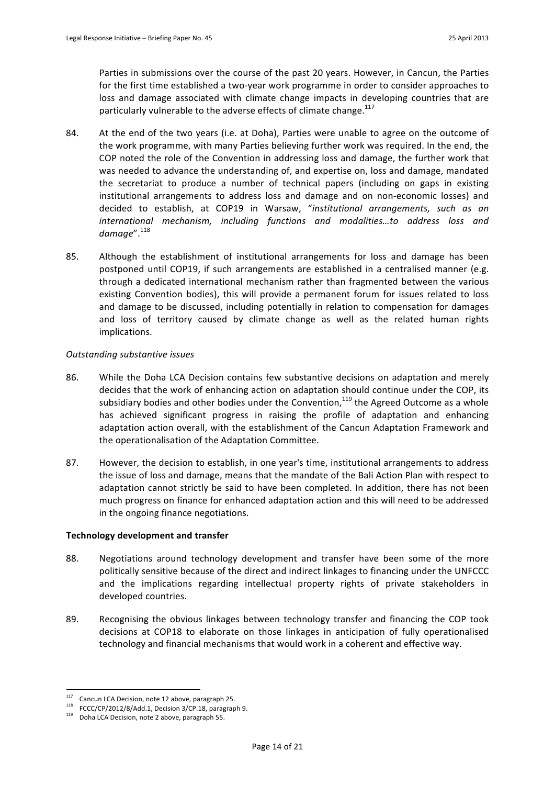Parties in submissions over the course of the past 20 years. However, in Cancun, the Parties for the first time established a two-year work programme in order to consider approaches to loss and damage associated with climate change impacts in developing countries that are particularly vulnerable to the adverse effects of climate change.<sup>117</sup>

- 84. At the end of the two years (i.e. at Doha), Parties were unable to agree on the outcome of the work programme, with many Parties believing further work was required. In the end, the COP noted the role of the Convention in addressing loss and damage, the further work that was needed to advance the understanding of, and expertise on, loss and damage, mandated the secretariat to produce a number of technical papers (including on gaps in existing institutional arrangements to address loss and damage and on non-economic losses) and decided to establish, at COP19 in Warsaw, "institutional arrangements, such as an international mechanism, including functions and modalities...to address loss and *damage*". 118
- 85. Although the establishment of institutional arrangements for loss and damage has been postponed until COP19, if such arrangements are established in a centralised manner (e.g. through a dedicated international mechanism rather than fragmented between the various existing Convention bodies), this will provide a permanent forum for issues related to loss and damage to be discussed, including potentially in relation to compensation for damages and loss of territory caused by climate change as well as the related human rights implications.

# **Outstanding substantive issues**

- 86. While the Doha LCA Decision contains few substantive decisions on adaptation and merely decides that the work of enhancing action on adaptation should continue under the COP, its subsidiary bodies and other bodies under the Convention, $^{119}$  the Agreed Outcome as a whole has achieved significant progress in raising the profile of adaptation and enhancing adaptation action overall, with the establishment of the Cancun Adaptation Framework and the operationalisation of the Adaptation Committee.
- 87. However, the decision to establish, in one year's time, institutional arrangements to address the issue of loss and damage, means that the mandate of the Bali Action Plan with respect to adaptation cannot strictly be said to have been completed. In addition, there has not been much progress on finance for enhanced adaptation action and this will need to be addressed in the ongoing finance negotiations.

# **Technology development and transfer**

- 88. Negotiations around technology development and transfer have been some of the more politically sensitive because of the direct and indirect linkages to financing under the UNFCCC and the implications regarding intellectual property rights of private stakeholders in developed countries.
- 89. Recognising the obvious linkages between technology transfer and financing the COP took decisions at COP18 to elaborate on those linkages in anticipation of fully operationalised technology and financial mechanisms that would work in a coherent and effective way.

<sup>117</sup> Cancun LCA Decision, note 12 above, paragraph 25.

<sup>&</sup>lt;sup>118</sup> FCCC/CP/2012/8/Add.1, Decision 3/CP.18, paragraph 9.

Doha LCA Decision, note 2 above, paragraph 55.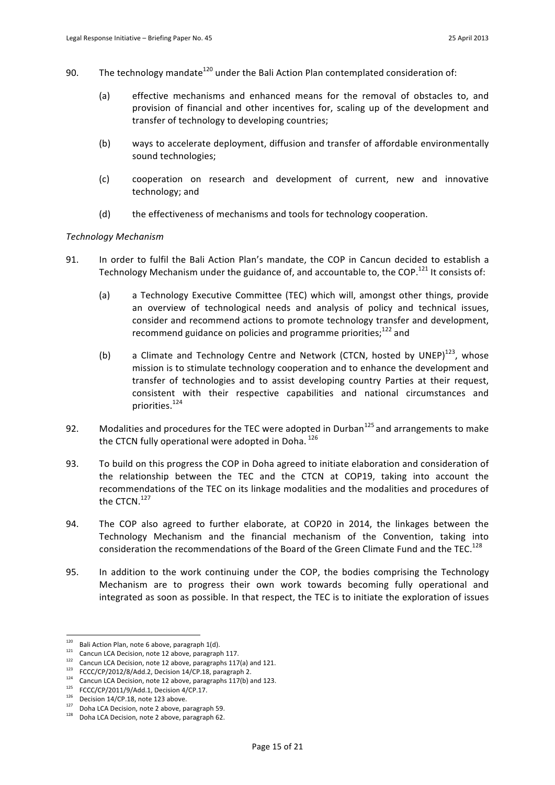- 90. The technology mandate<sup>120</sup> under the Bali Action Plan contemplated consideration of:
	- (a) effective mechanisms and enhanced means for the removal of obstacles to, and provision of financial and other incentives for, scaling up of the development and transfer of technology to developing countries:
	- (b) ways to accelerate deployment, diffusion and transfer of affordable environmentally sound technologies;
	- (c) cooperation on research and development of current, new and innovative technology; and
	- (d) the effectiveness of mechanisms and tools for technology cooperation.

### *Technology!Mechanism*

- 91. In order to fulfil the Bali Action Plan's mandate, the COP in Cancun decided to establish a Technology Mechanism under the guidance of, and accountable to, the COP.<sup>121</sup> It consists of:
	- (a) a Technology Executive Committee (TEC) which will, amongst other things, provide an overview of technological needs and analysis of policy and technical issues, consider and recommend actions to promote technology transfer and development, recommend guidance on policies and programme priorities; $122$  and
	- (b) a Climate and Technology Centre and Network (CTCN, hosted by UNEP)<sup>123</sup>, whose mission is to stimulate technology cooperation and to enhance the development and transfer of technologies and to assist developing country Parties at their request, consistent with their respective capabilities and national circumstances and priorities.<sup>124</sup>
- 92. Modalities and procedures for the TEC were adopted in Durban<sup>125</sup> and arrangements to make the CTCN fully operational were adopted in Doha. 126
- 93. To build on this progress the COP in Doha agreed to initiate elaboration and consideration of the relationship between the TEC and the CTCN at COP19, taking into account the recommendations of the TEC on its linkage modalities and the modalities and procedures of the CTCN.<sup>127</sup>
- 94. The COP also agreed to further elaborate, at COP20 in 2014, the linkages between the Technology Mechanism and the financial mechanism of the Convention, taking into consideration the recommendations of the Board of the Green Climate Fund and the TEC.<sup>128</sup>
- 95. In addition to the work continuing under the COP, the bodies comprising the Technology Mechanism are to progress their own work towards becoming fully operational and integrated as soon as possible. In that respect, the TEC is to initiate the exploration of issues

 $\overline{a}$ 

 $120$  Bali Action Plan, note 6 above, paragraph 1(d).

<sup>121</sup> Cancun LCA Decision, note 12 above, paragraph 117.

<sup>122</sup> Cancun LCA Decision, note 12 above, paragraphs 117(a) and 121.<br>1<sup>23</sup> FCCC/CP/2012/8/Add.2, Decision 14/CP.18, paragraph 2.<br>1<sup>24</sup>

Cancun LCA Decision, note 12 above, paragraphs 117(b) and 123.

<sup>125</sup> FCCC/CP/2011/9/Add.1, Decision 4/CP.17.<br>
126 Decision 14/CP.18, note 123 above.

 $127$  Doha LCA Decision, note 2 above, paragraph 59.

<sup>128</sup> Doha LCA Decision, note 2 above, paragraph 62.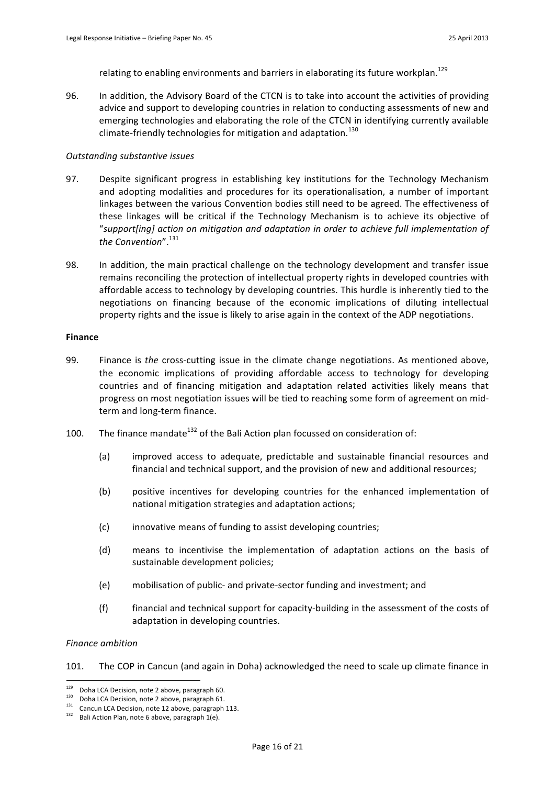relating to enabling environments and barriers in elaborating its future workplan.<sup>129</sup>

96. In addition, the Advisory Board of the CTCN is to take into account the activities of providing advice and support to developing countries in relation to conducting assessments of new and emerging technologies and elaborating the role of the CTCN in identifying currently available climate-friendly technologies for mitigation and adaptation.<sup>130</sup>

#### **Outstanding substantive issues**

- 97. Despite significant progress in establishing key institutions for the Technology Mechanism and adopting modalities and procedures for its operationalisation, a number of important linkages between the various Convention bodies still need to be agreed. The effectiveness of these linkages will be critical if the Technology Mechanism is to achieve its objective of "support[ing] action on mitigation and adaptation in order to achieve full implementation of *the!Convention*".131
- 98. In addition, the main practical challenge on the technology development and transfer issue remains reconciling the protection of intellectual property rights in developed countries with affordable access to technology by developing countries. This hurdle is inherently tied to the negotiations on financing because of the economic implications of diluting intellectual property rights and the issue is likely to arise again in the context of the ADP negotiations.

#### **Finance**

- 99. Finance is the cross-cutting issue in the climate change negotiations. As mentioned above, the economic implications of providing affordable access to technology for developing countries and of financing mitigation and adaptation related activities likely means that progress on most negotiation issues will be tied to reaching some form of agreement on midterm and long-term finance.
- 100. The finance mandate<sup>132</sup> of the Bali Action plan focussed on consideration of:
	- (a) improved access to adequate, predictable and sustainable financial resources and financial and technical support, and the provision of new and additional resources;
	- (b) positive incentives for developing countries for the enhanced implementation of national mitigation strategies and adaptation actions;
	- (c) innovative means of funding to assist developing countries;
	- $(d)$  means to incentivise the implementation of adaptation actions on the basis of sustainable development policies;
	- (e) mobilisation of public- and private-sector funding and investment; and
	- (f) financial and technical support for capacity-building in the assessment of the costs of adaptation in developing countries.

#### *Finance!ambition*

101. The COP in Cancun (and again in Doha) acknowledged the need to scale up climate finance in

<sup>&</sup>lt;sup>129</sup> Doha LCA Decision, note 2 above, paragraph 60.<br><sup>130</sup> Doha LCA Decision, note 2 above, paragraph 61.

<sup>130</sup> Doha LCA Decision, note 2 above, paragraph 61.<br>
131 Cancun LCA Decision, note 12 above, paragraph 113.<br>
132 Doli Artico Plan acto 6 change approach 1/2).

Bali Action Plan, note 6 above, paragraph 1(e).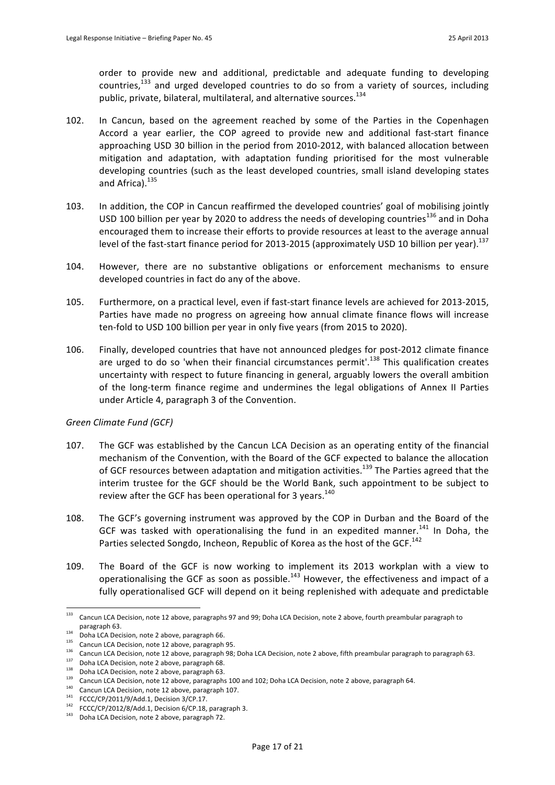order to provide new and additional, predictable and adequate funding to developing countries, $133$  and urged developed countries to do so from a variety of sources, including public, private, bilateral, multilateral, and alternative sources.<sup>134</sup>

- 102. In Cancun, based on the agreement reached by some of the Parties in the Copenhagen Accord a year earlier, the COP agreed to provide new and additional fast-start finance approaching USD 30 billion in the period from 2010-2012, with balanced allocation between mitigation and adaptation, with adaptation funding prioritised for the most vulnerable developing countries (such as the least developed countries, small island developing states and Africa).<sup>135</sup>
- 103. In addition, the COP in Cancun reaffirmed the developed countries' goal of mobilising jointly USD 100 billion per year by 2020 to address the needs of developing countries<sup>136</sup> and in Doha encouraged them to increase their efforts to provide resources at least to the average annual level of the fast-start finance period for 2013-2015 (approximately USD 10 billion per year).<sup>137</sup>
- 104. However, there are no substantive obligations or enforcement mechanisms to ensure developed countries in fact do any of the above.
- 105. Furthermore, on a practical level, even if fast-start finance levels are achieved for 2013-2015, Parties have made no progress on agreeing how annual climate finance flows will increase ten-fold to USD 100 billion per year in only five years (from 2015 to 2020).
- 106. Finally, developed countries that have not announced pledges for post-2012 climate finance are urged to do so 'when their financial circumstances permit'.<sup>138</sup> This qualification creates uncertainty with respect to future financing in general, arguably lowers the overall ambition of the long-term finance regime and undermines the legal obligations of Annex II Parties under Article 4, paragraph 3 of the Convention.

# Green Climate Fund (GCF)

- 107. The GCF was established by the Cancun LCA Decision as an operating entity of the financial mechanism of the Convention, with the Board of the GCF expected to balance the allocation of GCF resources between adaptation and mitigation activities.<sup>139</sup> The Parties agreed that the interim trustee for the GCF should be the World Bank, such appointment to be subject to review after the GCF has been operational for 3 years.<sup>140</sup>
- 108. The GCF's governing instrument was approved by the COP in Durban and the Board of the GCF was tasked with operationalising the fund in an expedited manner.<sup>141</sup> In Doha, the Parties selected Songdo, Incheon, Republic of Korea as the host of the GCF.<sup>142</sup>
- 109. The Board of the GCF is now working to implement its 2013 workplan with a view to operationalising the GCF as soon as possible.<sup>143</sup> However, the effectiveness and impact of a fully operationalised GCF will depend on it being replenished with adequate and predictable

 $\overline{a}$ 

<sup>&</sup>lt;sup>133</sup> Cancun LCA Decision, note 12 above, paragraphs 97 and 99; Doha LCA Decision, note 2 above, fourth preambular paragraph to paragraph 63.<br><sup>134</sup> Doha LCA Decision, note 2 above, paragraph 66.

 $135$  Cancun LCA Decision, note 12 above, paragraph 95. 136 Cancun LCA Decision, note 12 above, paragraph 98; Doha LCA Decision, note 2 above, fifth preambular paragraph to paragraph 63.

<sup>137</sup> Doha LCA Decision, note 2 above, paragraph 68.<br>138 Doha LCA Decision, note 2 above, paragraph 63.<br>139 Doha LCA Decision, note 2 a 42 ve, paragraph 63.

Cancun LCA Decision, note 12 above, paragraphs 100 and 102; Doha LCA Decision, note 2 above, paragraph 64.

<sup>140</sup> Cancun LCA Decision, note 12 above, paragraph 107.<br>141 FCCC/CP/2011/9/Add.1, Decision 3/CP.17.

 $142$  FCCC/CP/2012/8/Add.1, Decision 6/CP.18, paragraph 3.

<sup>143</sup> Doha LCA Decision, note 2 above, paragraph 72.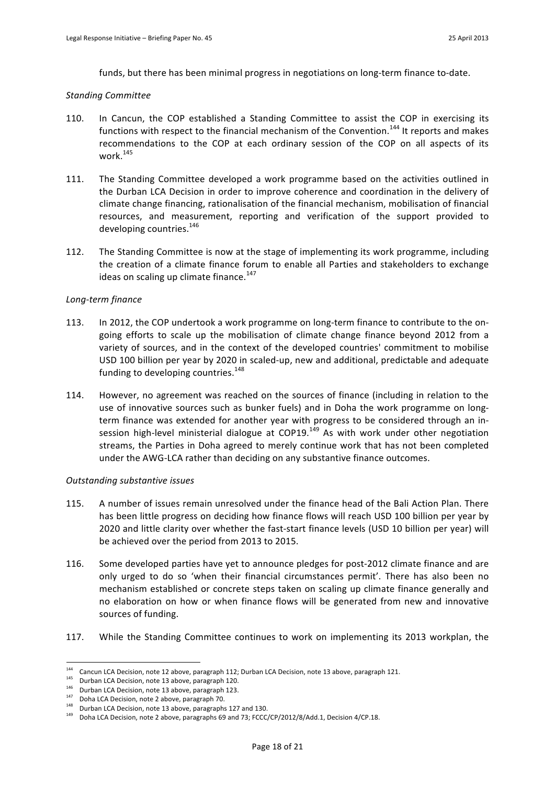funds, but there has been minimal progress in negotiations on long-term finance to-date.

### *Standing!Committee*

- 110. In Cancun, the COP established a Standing Committee to assist the COP in exercising its functions with respect to the financial mechanism of the Convention.<sup>144</sup> It reports and makes recommendations to the COP at each ordinary session of the COP on all aspects of its work.<sup>145</sup>
- 111. The Standing Committee developed a work programme based on the activities outlined in the Durban LCA Decision in order to improve coherence and coordination in the delivery of climate change financing, rationalisation of the financial mechanism, mobilisation of financial resources, and measurement, reporting and verification of the support provided to developing countries. $^{146}$
- 112. The Standing Committee is now at the stage of implementing its work programme, including the creation of a climate finance forum to enable all Parties and stakeholders to exchange ideas on scaling up climate finance.<sup>147</sup>

### Long-term finance

- 113. In 2012, the COP undertook a work programme on long-term finance to contribute to the ongoing efforts to scale up the mobilisation of climate change finance beyond 2012 from a variety of sources, and in the context of the developed countries' commitment to mobilise USD 100 billion per year by 2020 in scaled-up, new and additional, predictable and adequate funding to developing countries.<sup>148</sup>
- 114. However, no agreement was reached on the sources of finance (including in relation to the use of innovative sources such as bunker fuels) and in Doha the work programme on longterm finance was extended for another year with progress to be considered through an insession high-level ministerial dialogue at COP19.<sup>149</sup> As with work under other negotiation streams, the Parties in Doha agreed to merely continue work that has not been completed under the AWG-LCA rather than deciding on any substantive finance outcomes.

# *Outstanding!substantive!issues*

- 115. A number of issues remain unresolved under the finance head of the Bali Action Plan. There has been little progress on deciding how finance flows will reach USD 100 billion per year by 2020 and little clarity over whether the fast-start finance levels (USD 10 billion per year) will be achieved over the period from 2013 to 2015.
- 116. Some developed parties have yet to announce pledges for post-2012 climate finance and are only urged to do so 'when their financial circumstances permit'. There has also been no mechanism established or concrete steps taken on scaling up climate finance generally and no elaboration on how or when finance flows will be generated from new and innovative sources of funding.
- 117. While the Standing Committee continues to work on implementing its 2013 workplan, the

<sup>&</sup>lt;sup>144</sup> Cancun LCA Decision, note 12 above, paragraph 112; Durban LCA Decision, note 13 above, paragraph 121.

<sup>145</sup> Durban LCA Decision, note 13 above, paragraph 120.

<sup>146</sup> Durban LCA Decision, note 13 above, paragraph 123.<br><sup>147</sup> Doha LCA Decision, note 2 above, paragraph 70.

 $148$  Durban LCA Decision, note 13 above, paragraphs 127 and 130.

<sup>149</sup> Doha LCA Decision, note 2 above, paragraphs 69 and 73; FCCC/CP/2012/8/Add.1, Decision 4/CP.18.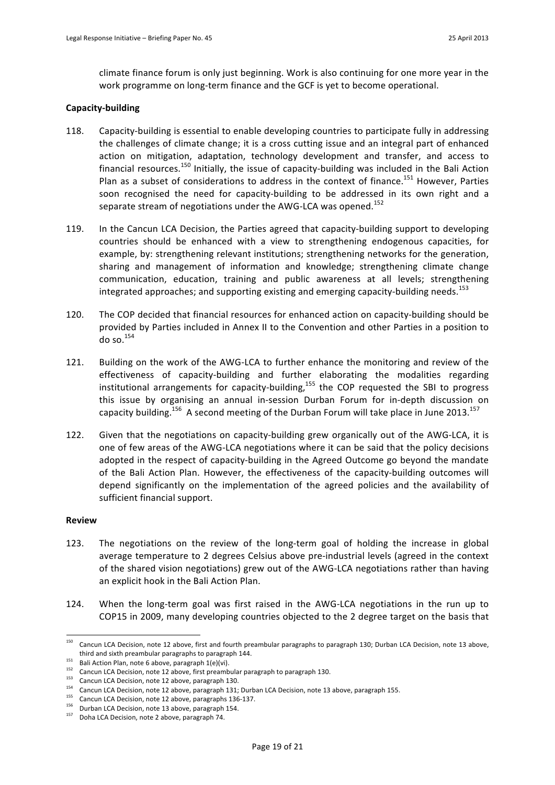climate finance forum is only just beginning. Work is also continuing for one more year in the work programme on long-term finance and the GCF is yet to become operational.

### **Capacity-building**

- 118. Capacity-building is essential to enable developing countries to participate fully in addressing the challenges of climate change; it is a cross cutting issue and an integral part of enhanced action on mitigation, adaptation, technology development and transfer, and access to financial resources.<sup>150</sup> Initially, the issue of capacity-building was included in the Bali Action Plan as a subset of considerations to address in the context of finance.<sup>151</sup> However, Parties soon recognised the need for capacity-building to be addressed in its own right and a separate stream of negotiations under the AWG-LCA was opened.<sup>152</sup>
- 119. In the Cancun LCA Decision, the Parties agreed that capacity-building support to developing countries should be enhanced with a view to strengthening endogenous capacities, for example, by: strengthening relevant institutions; strengthening networks for the generation, sharing and management of information and knowledge; strengthening climate change communication, education, training and public awareness at all levels; strengthening integrated approaches; and supporting existing and emerging capacity-building needs.<sup>153</sup>
- 120. The COP decided that financial resources for enhanced action on capacity-building should be provided by Parties included in Annex II to the Convention and other Parties in a position to do so. $154$
- 121. Building on the work of the AWG-LCA to further enhance the monitoring and review of the effectiveness of capacity-building and further elaborating the modalities regarding institutional arrangements for capacity-building, $155$  the COP requested the SBI to progress this issue by organising an annual in-session Durban Forum for in-depth discussion on capacity building.<sup>156</sup> A second meeting of the Durban Forum will take place in June 2013.<sup>157</sup>
- 122. Given that the negotiations on capacity-building grew organically out of the AWG-LCA, it is one of few areas of the AWG-LCA negotiations where it can be said that the policy decisions adopted in the respect of capacity-building in the Agreed Outcome go beyond the mandate of the Bali Action Plan. However, the effectiveness of the capacity-building outcomes will depend significantly on the implementation of the agreed policies and the availability of sufficient financial support.

### **Review**

- 123. The negotiations on the review of the long-term goal of holding the increase in global average temperature to 2 degrees Celsius above pre-industrial levels (agreed in the context of the shared vision negotiations) grew out of the AWG-LCA negotiations rather than having an explicit hook in the Bali Action Plan.
- 124. When the long-term goal was first raised in the AWG-LCA negotiations in the run up to COP15 in 2009, many developing countries objected to the 2 degree target on the basis that

<sup>150</sup> Cancun LCA Decision, note 12 above, first and fourth preambular paragraphs to paragraph 130; Durban LCA Decision, note 13 above, third and sixth preambular paragraphs to paragraph 144.<br>
Bali Action Plan, note 6 above, paragraph 1(e)(vi).

<sup>&</sup>lt;sup>152</sup> Cancun LCA Decision, note 12 above, first preambular paragraph to paragraph 130.

<sup>&</sup>lt;sup>153</sup> Cancun LCA Decision, note 12 above, paragraph 130.

<sup>&</sup>lt;sup>154</sup> Cancun LCA Decision, note 12 above, paragraph 131; Durban LCA Decision, note 13 above, paragraph 155. Cancun LCA Decision, note 12 above, paragraphs 136-137.

<sup>&</sup>lt;sup>156</sup> Durban LCA Decision, note 13 above, paragraph 154.

Doha LCA Decision, note 2 above, paragraph 74.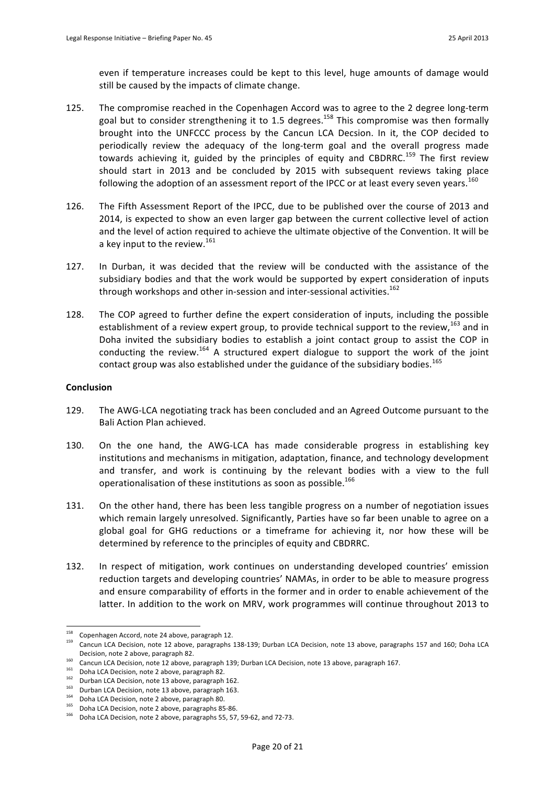even if temperature increases could be kept to this level, huge amounts of damage would still be caused by the impacts of climate change.

- 125. The compromise reached in the Copenhagen Accord was to agree to the 2 degree long-term goal but to consider strengthening it to 1.5 degrees.<sup>158</sup> This compromise was then formally brought into the UNFCCC process by the Cancun LCA Decsion. In it, the COP decided to periodically review the adequacy of the long-term goal and the overall progress made towards achieving it, guided by the principles of equity and CBDRRC.<sup>159</sup> The first review should start in 2013 and be concluded by 2015 with subsequent reviews taking place following the adoption of an assessment report of the IPCC or at least every seven years.<sup>160</sup>
- 126. The Fifth Assessment Report of the IPCC, due to be published over the course of 2013 and 2014, is expected to show an even larger gap between the current collective level of action and the level of action required to achieve the ultimate objective of the Convention. It will be a key input to the review.<sup>161</sup>
- 127. In Durban, it was decided that the review will be conducted with the assistance of the subsidiary bodies and that the work would be supported by expert consideration of inputs through workshops and other in-session and inter-sessional activities.<sup>162</sup>
- 128. The COP agreed to further define the expert consideration of inputs, including the possible establishment of a review expert group, to provide technical support to the review,<sup>163</sup> and in Doha invited the subsidiary bodies to establish a joint contact group to assist the COP in conducting the review.<sup>164</sup> A structured expert dialogue to support the work of the joint contact group was also established under the guidance of the subsidiary bodies.<sup>165</sup>

#### **Conclusion**

- 129. The AWG-LCA negotiating track has been concluded and an Agreed Outcome pursuant to the Bali Action Plan achieved.
- 130. On the one hand, the AWG-LCA has made considerable progress in establishing key institutions and mechanisms in mitigation, adaptation, finance, and technology development and transfer, and work is continuing by the relevant bodies with a view to the full operationalisation of these institutions as soon as possible.<sup>166</sup>
- 131. On the other hand, there has been less tangible progress on a number of negotiation issues which remain largely unresolved. Significantly, Parties have so far been unable to agree on a global goal for GHG reductions or a timeframe for achieving it, nor how these will be determined by reference to the principles of equity and CBDRRC.
- 132. In respect of mitigation, work continues on understanding developed countries' emission reduction targets and developing countries' NAMAs, in order to be able to measure progress and ensure comparability of efforts in the former and in order to enable achievement of the latter. In addition to the work on MRV, work programmes will continue throughout 2013 to

 $158$  Copenhagen Accord, note 24 above, paragraph 12.

<sup>159</sup> Cancun LCA Decision, note 12 above, paragraphs 138-139; Durban LCA Decision, note 13 above, paragraphs 157 and 160; Doha LCA Decision, note 2 above, paragraph 82.

<sup>160</sup> Cancun LCA Decision, note 12 above, paragraph 139; Durban LCA Decision, note 13 above, paragraph 167.<br><sup>161</sup> Cancun LCA Decision, note 12 above, paragraph 82.<br>161 Doha LCA Decision, note 2 above, paragraph 82.

<sup>162</sup> Durban LCA Decision, note 13 above, paragraph 162.

<sup>163&</sup>lt;br>
Durban LCA Decision, note 13 above, paragraph 163.<br>
164 Doha LCA Decision, note 2 above, paragraph 80.

<sup>&</sup>lt;sup>165</sup> Doha LCA Decision, note 2 above, paragraphs 85-86.<br><sup>166</sup> Deba<sup>166</sup> Desisian, note 2 shaue, paragraphs FF, F7.

Doha LCA Decision, note 2 above, paragraphs 55, 57, 59-62, and 72-73.